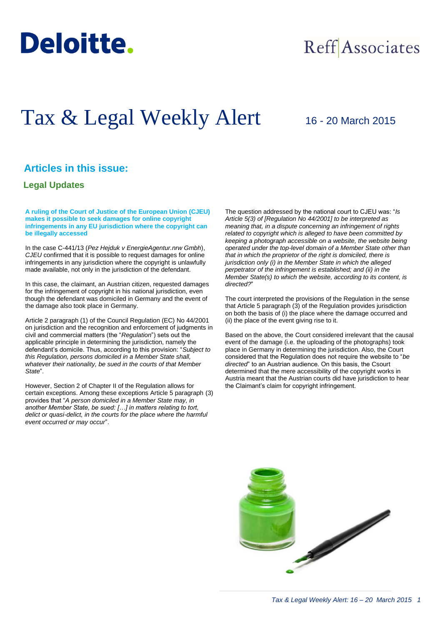

## Reff Associates

# Tax & Legal Weekly Alert

## 16 - 20 March 2015

### **Articles in this issue:**

#### **Legal Updates**

**A ruling of the Court of Justice of the European Union (CJEU) makes it possible to seek damages for online copyright infringements in any EU jurisdiction where the copyright can be illegally accessed** 

In the case C-441/13 (*Pez Hejduk v EnergieAgentur.nrw Gmbh*), *CJEU* confirmed that it is possible to request damages for online infringements in any jurisdiction where the copyright is unlawfully made available, not only in the jurisdiction of the defendant.

In this case, the claimant, an Austrian citizen, requested damages for the infringement of copyright in his national jurisdiction, even though the defendant was domiciled in Germany and the event of the damage also took place in Germany.

Article 2 paragraph (1) of the Council Regulation (EC) No 44/2001 on jurisdiction and the recognition and enforcement of judgments in civil and commercial matters (the "*Regulation*") sets out the applicable principle in determining the jurisdiction, namely the defendant's domicile. Thus, according to this provision: "*Subject to this Regulation, persons domiciled in a Member State shall, whatever their nationality, be sued in the courts of that Member State*".

However, Section 2 of Chapter II of the Regulation allows for certain exceptions. Among these exceptions Article 5 paragraph (3) provides that "*A person domiciled in a Member State may, in another Member State, be sued: […] in matters relating to tort, delict or quasi-delict, in the courts for the place where the harmful event occurred or may occur*".

The question addressed by the national court to CJEU was: "*Is Article 5(3) of [Regulation No 44/2001] to be interpreted as meaning that, in a dispute concerning an infringement of rights related to copyright which is alleged to have been committed by keeping a photograph accessible on a website, the website being operated under the top-level domain of a Member State other than that in which the proprietor of the right is domiciled, there is jurisdiction only (i) in the Member State in which the alleged perpetrator of the infringement is established; and (ii) in the Member State(s) to which the website, according to its content, is directed?*"

The court interpreted the provisions of the Regulation in the sense that Article 5 paragraph (3) of the Regulation provides jurisdiction on both the basis of (i) the place where the damage occurred and (ii) the place of the event giving rise to it.

Based on the above, the Court considered irrelevant that the causal event of the damage (i.e. the uploading of the photographs) took place in Germany in determining the jurisdiction. Also, the Court considered that the Regulation does not require the website to "*be directed*" to an Austrian audience. On this basis, the Csourt determined that the mere accessibility of the copyright works in Austria meant that the Austrian courts did have jurisdiction to hear the Claimant's claim for copyright infringement.